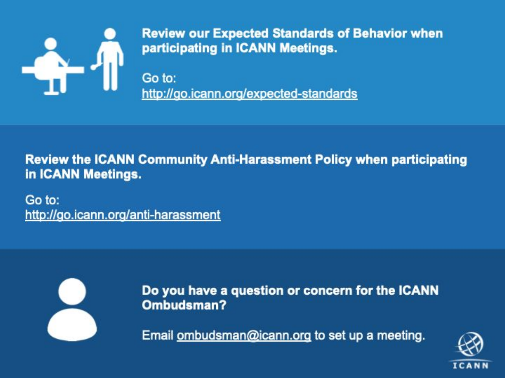

**Review our Expected Standards of Behavior when** participating in ICANN Meetings.

Go to: http://go.icann.org/expected-standards

**Review the ICANN Community Anti-Harassment Policy when participating** in ICANN Meetings.

Go to: http://go.icann.org/anti-harassment



Do you have a question or concern for the ICANN Ombudsman?

Email ombudsman@icann.org to set up a meeting.

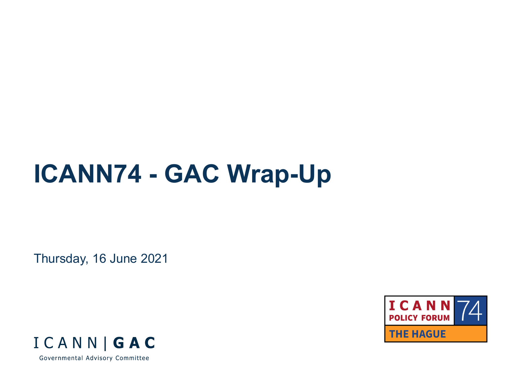# **ICANN74 - GAC Wrap-Up**

Thursday, 16 June 2021



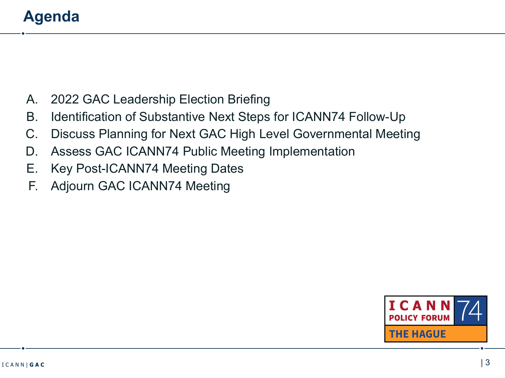# **Agenda**

- A. 2022 GAC Leadership Election Briefing
- B. Identification of Substantive Next Steps for ICANN74 Follow-Up
- C. Discuss Planning for Next GAC High Level Governmental Meeting
- D. Assess GAC ICANN74 Public Meeting Implementation
- E. Key Post-ICANN74 Meeting Dates
- F. Adjourn GAC ICANN74 Meeting

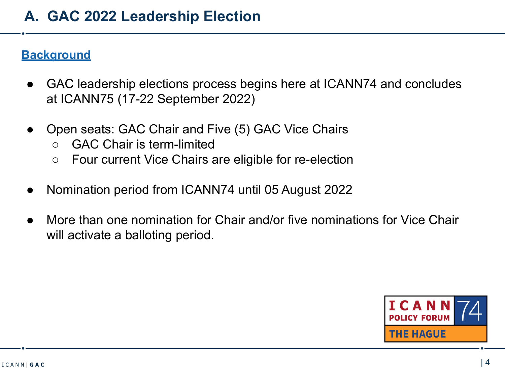### **Background**

- GAC leadership elections process begins here at ICANN74 and concludes at ICANN75 (17-22 September 2022)
- Open seats: GAC Chair and Five (5) GAC Vice Chairs
	- GAC Chair is term-limited
	- Four current Vice Chairs are eligible for re-election
- Nomination period from ICANN74 until 05 August 2022
- More than one nomination for Chair and/or five nominations for Vice Chair will activate a balloting period.

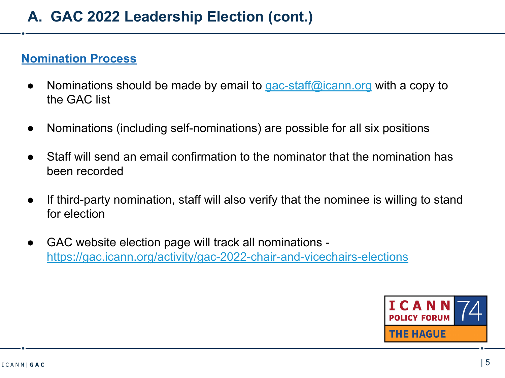#### **Nomination Process**

- Nominations should be made by email to [gac-staff@icann.org](mailto:gac-staff@icann.org) with a copy to the GAC list
- Nominations (including self-nominations) are possible for all six positions
- Staff will send an email confirmation to the nominator that the nomination has been recorded
- If third-party nomination, staff will also verify that the nominee is willing to stand for election
- GAC website election page will track all nominations <https://gac.icann.org/activity/gac-2022-chair-and-vicechairs-elections>

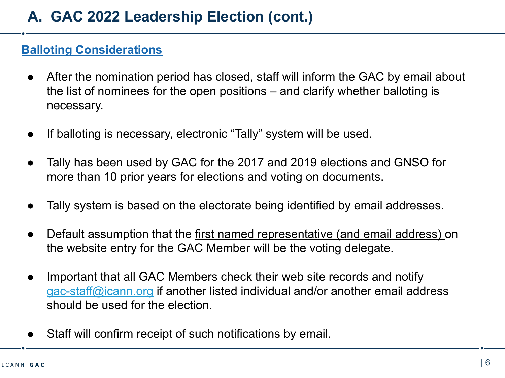#### **Balloting Considerations**

- After the nomination period has closed, staff will inform the GAC by email about the list of nominees for the open positions – and clarify whether balloting is necessary.
- If balloting is necessary, electronic "Tally" system will be used.
- Tally has been used by GAC for the 2017 and 2019 elections and GNSO for more than 10 prior years for elections and voting on documents.
- Tally system is based on the electorate being identified by email addresses.
- Default assumption that the first named representative (and email address) on the website entry for the GAC Member will be the voting delegate.
- Important that all GAC Members check their web site records and notify [gac-staff@icann.org](mailto:gac-staff@icann.org) if another listed individual and/or another email address should be used for the election.
- Staff will confirm receipt of such notifications by email.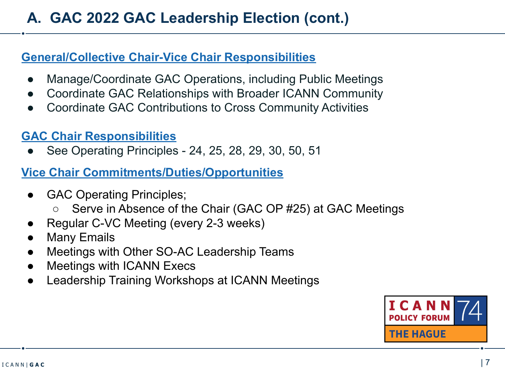#### **General/Collective Chair-Vice Chair Responsibilities**

- Manage/Coordinate GAC Operations, including Public Meetings
- Coordinate GAC Relationships with Broader ICANN Community
- Coordinate GAC Contributions to Cross Community Activities

## **GAC Chair Responsibilities**

See Operating Principles - 24, 25, 28, 29, 30, 50, 51

## **Vice Chair Commitments/Duties/Opportunities**

- GAC Operating Principles;
	- Serve in Absence of the Chair (GAC OP #25) at GAC Meetings
- Regular C-VC Meeting (every 2-3 weeks)
- **Many Emails**
- Meetings with Other SO-AC Leadership Teams
- **Meetings with ICANN Execs**
- Leadership Training Workshops at ICANN Meetings

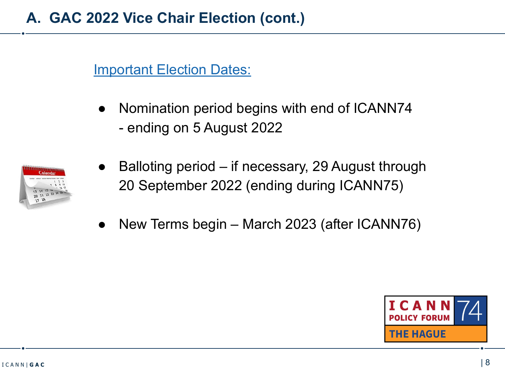## **Important Election Dates:**

Nomination period begins with end of ICANN74 - ending on 5 August 2022



- Balloting period if necessary, 29 August through 20 September 2022 (ending during ICANN75)
- New Terms begin March 2023 (after ICANN76)

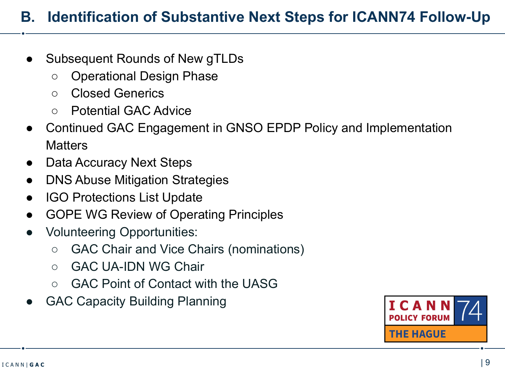# **B. Identification of Substantive Next Steps for ICANN74 Follow-Up**

- Subsequent Rounds of New gTLDs
	- Operational Design Phase
	- Closed Generics
	- Potential GAC Advice
- Continued GAC Engagement in GNSO EPDP Policy and Implementation **Matters**
- Data Accuracy Next Steps
- **DNS Abuse Mitigation Strategies**
- **IGO Protections List Update**
- **GOPE WG Review of Operating Principles**
- Volunteering Opportunities:
	- GAC Chair and Vice Chairs (nominations)
	- GAC UA-IDN WG Chair
	- GAC Point of Contact with the UASG
- **GAC Capacity Building Planning**

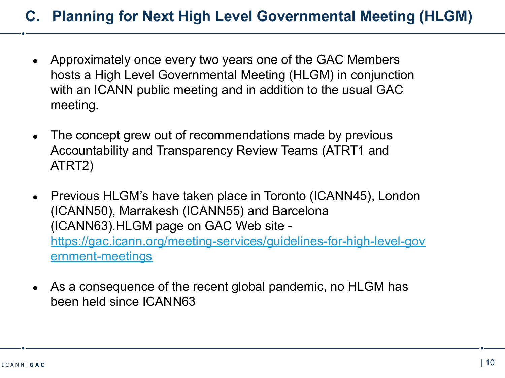## **C. Planning for Next High Level Governmental Meeting (HLGM)**

- Approximately once every two years one of the GAC Members hosts a High Level Governmental Meeting (HLGM) in conjunction with an ICANN public meeting and in addition to the usual GAC meeting.
- The concept grew out of recommendations made by previous Accountability and Transparency Review Teams (ATRT1 and ATRT2)
- Previous HLGM's have taken place in Toronto (ICANN45), London (ICANN50), Marrakesh (ICANN55) and Barcelona (ICANN63).HLGM page on GAC Web site [https://gac.icann.org/meeting-services/guidelines-for-high-level-gov](https://gac.icann.org/meeting-services/guidelines-for-high-level-government-meetings) [ernment-meetings](https://gac.icann.org/meeting-services/guidelines-for-high-level-government-meetings)
- As a consequence of the recent global pandemic, no HLGM has been held since ICANN63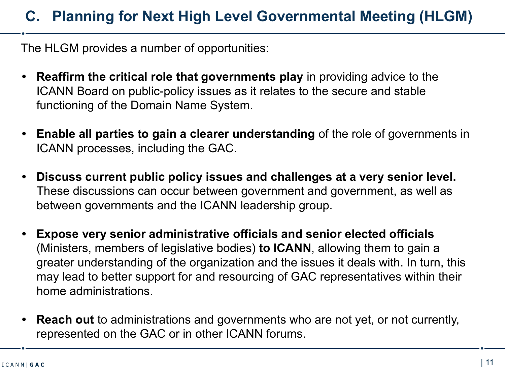# **C. Planning for Next High Level Governmental Meeting (HLGM)**

The HLGM provides a number of opportunities:

- **• Reaffirm the critical role that governments play** in providing advice to the ICANN Board on public-policy issues as it relates to the secure and stable functioning of the Domain Name System.
- **• Enable all parties to gain a clearer understanding** of the role of governments in ICANN processes, including the GAC.
- **• Discuss current public policy issues and challenges at a very senior level.**  These discussions can occur between government and government, as well as between governments and the ICANN leadership group.
- **• Expose very senior administrative officials and senior elected officials**  (Ministers, members of legislative bodies) **to ICANN**, allowing them to gain a greater understanding of the organization and the issues it deals with. In turn, this may lead to better support for and resourcing of GAC representatives within their home administrations.
- **• Reach out** to administrations and governments who are not yet, or not currently, represented on the GAC or in other ICANN forums.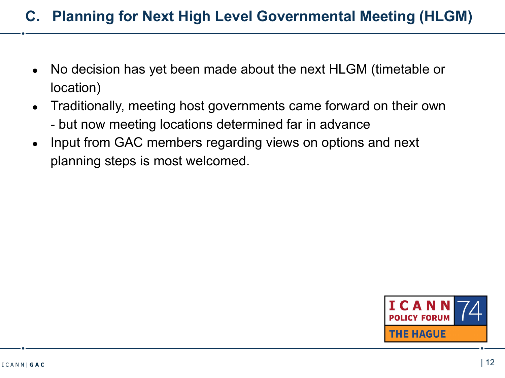## **C. Planning for Next High Level Governmental Meeting (HLGM)**

- No decision has yet been made about the next HLGM (timetable or location)
- Traditionally, meeting host governments came forward on their own - but now meeting locations determined far in advance
- Input from GAC members regarding views on options and next planning steps is most welcomed.

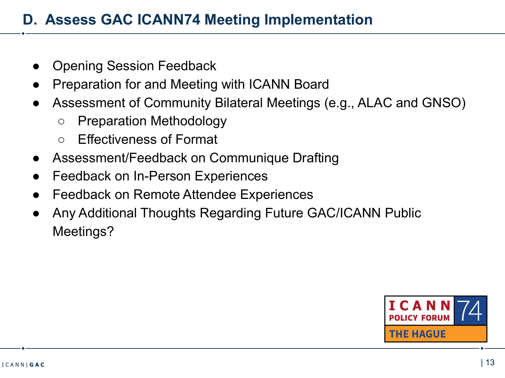# **D. Assess GAC ICANN74 Meeting Implementation**

- **Opening Session Feedback**
- Preparation for and Meeting with ICANN Board
- Assessment of Community Bilateral Meetings (e.g., ALAC and GNSO)
	- Preparation Methodology
	- Effectiveness of Format
- Assessment/Feedback on Communique Drafting
- **Feedback on In-Person Experiences**
- **Feedback on Remote Attendee Experiences**
- Any Additional Thoughts Regarding Future GAC/ICANN Public Meetings?

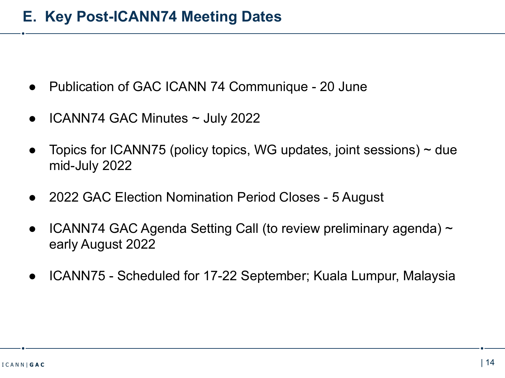- Publication of GAC ICANN 74 Communique 20 June
- $ICANN74$  GAC Minutes  $\sim$  July 2022
- Topics for ICANN75 (policy topics, WG updates, joint sessions)  $\sim$  due mid-July 2022
- 2022 GAC Election Nomination Period Closes 5 August
- ICANN74 GAC Agenda Setting Call (to review preliminary agenda)  $\sim$ early August 2022
- ICANN75 Scheduled for 17-22 September; Kuala Lumpur, Malaysia